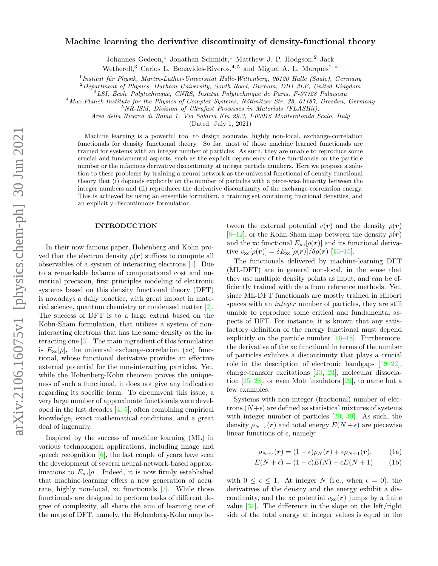# Machine learning the derivative discontinuity of density-functional theory

Johannes Gedeon,<sup>1</sup> Jonathan Schmidt,<sup>1</sup> Matthew J. P. Hodgson,<sup>2</sup> Jack

Wetherell,<sup>3</sup> Carlos L. Benavides-Riveros,<sup>4,5</sup> and Miguel A. L. Marques<sup>1, [∗](#page-6-0)</sup>

<sup>1</sup> Institut für Physik, Martin-Luther-Universität Halle-Wittenberg, 06120 Halle (Saale), Germany

<sup>2</sup>Department of Physics, Durham University, South Road, Durham, DH1 3LE, United Kingdom

 $3$ LSI, École Polytechnique, CNRS, Institut Polytechnique de Paris, F-97728 Palaiseau

 $4$ Max Planck Institute for the Physics of Complex Systems, Nöthnitzer Str. 38, 01187, Dresden, Germany

<sup>5</sup>NR-ISM, Division of Ultrafast Processes in Materials (FLASHit),

Area della Ricerca di Roma 1, Via Salaria Km 29.3, I-00016 Monterotondo Scalo, Italy

(Dated: July 1, 2021)

Machine learning is a powerful tool to design accurate, highly non-local, exchange-correlation functionals for density functional theory. So far, most of those machine learned functionals are trained for systems with an integer number of particles. As such, they are unable to reproduce some crucial and fundamental aspects, such as the explicit dependency of the functionals on the particle number or the infamous derivative discontinuity at integer particle numbers. Here we propose a solution to these problems by training a neural network as the universal functional of density-functional theory that (i) depends explicitly on the number of particles with a piece-wise linearity between the integer numbers and (ii) reproduces the derivative discontinuity of the exchange-correlation energy. This is achieved by using an ensemble formalism, a training set containing fractional densities, and an explicitly discontinuous formulation.

#### INTRODUCTION

In their now famous paper, Hohenberg and Kohn proved that the electron density  $\rho(r)$  suffices to compute all observables of a system of interacting electrons [\[1\]](#page-6-1). Due to a remarkable balance of computational cost and numerical precision, first principles modeling of electronic systems based on this density functional theory (DFT) is nowadays a daily practice, with great impact in material science, quantum chemistry or condensed matter [\[2\]](#page-6-2). The success of DFT is to a large extent based on the Kohn-Sham formulation, that utilizes a system of noninteracting electrons that has the same density as the interacting one [\[3\]](#page-6-3). The main ingredient of this formulation is  $E_{\text{xc}}[\rho]$ , the universal exchange-correlation (xc) functional, whose functional derivative provides an effective external potential for the non-interacting particles. Yet, while the Hohenberg-Kohn theorem proves the uniqueness of such a functional, it does not give any indication regarding its specific form. To circumvent this issue, a very large number of approximate functionals were developed in the last decades [\[4,](#page-6-4) [5\]](#page-6-5), often combining empirical knowledge, exact mathematical conditions, and a great deal of ingenuity.

Inspired by the success of machine learning (ML) in various technological applications, including image and speech recognition  $[6]$ , the last couple of years have seen the development of several neural-network-based approximations to  $E_{\rm xc}[\rho]$ . Indeed, it is now firmly established that machine-learning offers a new generation of accurate, highly non-local, xc functionals [\[7\]](#page-6-7). While those functionals are designed to perform tasks of different degree of complexity, all share the aim of learning one of the maps of DFT, namely, the Hohenberg-Kohn map be-

tween the external potential  $v(r)$  and the density  $\rho(r)$  $[8-12]$  $[8-12]$ , or the Kohn-Sham map between the density  $\rho(r)$ and the xc functional  $E_{\text{xc}}[\rho(\mathbf{r})]$  and its functional derivative  $v_{\rm xc}[\rho(\bm{r})] = \delta E_{\rm xc}[\rho(\bm{r})]/\delta \rho(\bm{r})$  [\[13](#page-6-10)[–15\]](#page-6-11).

The functionals delivered by machine-learning DFT (ML-DFT) are in general non-local, in the sense that they use multiple density points as input, and can be efficiently trained with data from reference methods. Yet, since ML-DFT functionals are mostly trained in Hilbert spaces with an integer number of particles, they are still unable to reproduce some critical and fundamental aspects of DFT. For instance, it is known that any satisfactory definition of the energy functional must depend explicitly on the particle number [\[16–](#page-6-12)[18\]](#page-6-13). Furthermore, the derivative of the xc functional in terms of the number of particles exhibits a discontinuity that plays a crucial role in the description of electronic bandgaps [\[19–](#page-6-14)[22\]](#page-6-15), charge-transfer excitations [\[23,](#page-6-16) [24\]](#page-6-17), molecular dissociation  $[25-28]$  $[25-28]$ , or even Mott insulators  $[29]$ , to name but a few examples.

Systems with non-integer (fractional) number of electrons  $(N+\epsilon)$  are defined as statistical mixtures of systems with integer number of particles  $[20, 30]$  $[20, 30]$  $[20, 30]$ . As such, the density  $\rho_{N+\epsilon}(r)$  and total energy  $E(N+\epsilon)$  are piecewise linear functions of  $\epsilon$ , namely:

$$
\rho_{N+\epsilon}(\mathbf{r}) = (1-\epsilon)\rho_N(\mathbf{r}) + \epsilon \rho_{N+1}(\mathbf{r}), \qquad (1a)
$$

$$
E(N + \epsilon) = (1 - \epsilon)E(N) + \epsilon E(N + 1)
$$
 (1b)

with  $0 \leq \epsilon \leq 1$ . At integer N (i.e., when  $\epsilon = 0$ ), the derivatives of the density and the energy exhibit a discontinuity, and the xc potential  $v_{\rm xc}(\mathbf{r})$  jumps by a finite value  $[31]$ . The difference in the slope on the left/right side of the total energy at integer values is equal to the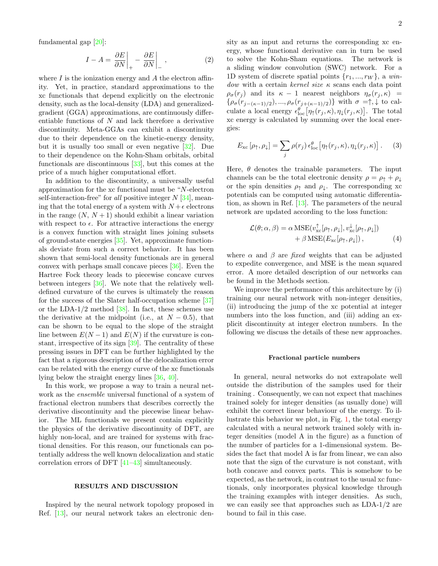fundamental gap [\[20\]](#page-6-21):

$$
I - A = \left. \frac{\partial E}{\partial N} \right|_{+} - \left. \frac{\partial E}{\partial N} \right|_{-}, \tag{2}
$$

where  $I$  is the ionization energy and  $A$  the electron affinity. Yet, in practice, standard approximations to the xc functionals that depend explicitly on the electronic density, such as the local-density (LDA) and generalizedgradient (GGA) approximations, are continuously differentiable functions of N and lack therefore a derivative discontinuity. Meta-GGAs can exhibit a discontinuity due to their dependence on the kinetic-energy density, but it is usually too small or even negative [\[32\]](#page-6-24). Due to their dependence on the Kohn-Sham orbitals, orbital functionals are discontinuous [\[33\]](#page-6-25), but this comes at the price of a much higher computational effort.

In addition to the discontinuity, a universally useful approximation for the xc functional must be "N-electron self-interaction-free" for all positive integer  $N$  [\[34\]](#page-6-26), meaning that the total energy of a system with  $N + \epsilon$  electrons in the range  $(N, N+1)$  should exhibit a linear variation with respect to  $\epsilon$ . For attractive interactions the energy is a convex function with straight lines joining subsets of ground-state energies [\[35\]](#page-6-27). Yet, approximate functionals deviate from such a correct behavior. It has been shown that semi-local density functionals are in general convex with perhaps small concave pieces [\[36\]](#page-6-28). Even the Hartree Fock theory leads to piecewise concave curves between integers [\[36\]](#page-6-28). We note that the relatively welldefined curvature of the curves is ultimately the reason for the success of the Slater half-occupation scheme [\[37\]](#page-6-29) or the LDA-1/2 method  $[38]$ . In fact, these schemes use the derivative at the midpoint (i.e., at  $N - 0.5$ ), that can be shown to be equal to the slope of the straight line between  $E(N-1)$  and  $E(N)$  if the curvature is constant, irrespective of its sign [\[39\]](#page-6-31). The centrality of these pressing issues in DFT can be further highlighted by the fact that a rigorous description of the delocalization error can be related with the energy curve of the xc functionals lying below the straight energy lines [\[36,](#page-6-28) [40\]](#page-6-32).

In this work, we propose a way to train a neural network as the ensemble universal functional of a system of fractional electron numbers that describes correctly the derivative discontinuity and the piecewise linear behavior. The ML functionals we present contain explicitly the physics of the derivative discontinuity of DFT, are highly non-local, and are trained for systems with fractional densities. For this reason, our functionals can potentially address the well known delocalization and static correlation errors of DFT [\[41–](#page-6-33)[43\]](#page-6-34) simultaneously.

### RESULTS AND DISCUSSION

Inspired by the neural network topology proposed in Ref. [\[13\]](#page-6-10), our neural network takes an electronic density as an input and returns the corresponding xc energy, whose functional derivative can in turn be used to solve the Kohn-Sham equations. The network is a sliding window convolution (SWC) network. For a 1D system of discrete spatial points  $\{r_1, ..., r_W\}$ , a window with a certain kernel size  $\kappa$  scans each data point  $\rho_{\sigma}(r_i)$  and its  $\kappa - 1$  nearest neighbors  $\eta_{\sigma}(r_i, \kappa)$  =  $\{\rho_{\sigma}(r_{j-(\kappa-1)/2}),...,\rho_{\sigma}(r_{j+(\kappa-1)/2})\}$  with  $\sigma = \uparrow, \downarrow$  to calculate a local energy  $\epsilon_{\text{loc}}^{\theta} [\eta_{\uparrow}(r_j, \kappa), \eta_{\downarrow}(r_j, \kappa)].$  The total xc energy is calculated by summing over the local energies:

<span id="page-1-1"></span>
$$
E_{\rm xc}\left[\rho_{\uparrow},\rho_{\downarrow}\right] = \sum_j \rho(r_j) \,\epsilon_{\rm loc}^{\theta}\left[\eta_{\uparrow}(r_j,\kappa),\eta_{\downarrow}(r_j,\kappa)\right].\tag{3}
$$

Here,  $\theta$  denotes the trainable parameters. The input channels can be the total electronic density  $\rho = \rho_{\uparrow} + \rho_{\downarrow}$ or the spin densities  $\rho_{\uparrow}$  and  $\rho_{\downarrow}$ . The corresponding xc potentials can be computed using automatic differentiation, as shown in Ref. [\[13\]](#page-6-10). The parameters of the neural network are updated according to the loss function:

<span id="page-1-0"></span>
$$
\mathcal{L}(\theta; \alpha, \beta) = \alpha \text{MSE}(v_{\text{xc}}^{\uparrow}[\rho_{\uparrow}, \rho_{\downarrow}], v_{\text{xc}}^{\downarrow}[\rho_{\uparrow}, \rho_{\downarrow}]) \n+ \beta \text{MSE}(E_{\text{xc}}[\rho_{\uparrow}, \rho_{\downarrow}]),
$$
\n(4)

where  $\alpha$  and  $\beta$  are fixed weights that can be adjusted to expedite convergence, and MSE is the mean squared error. A more detailed description of our networks can be found in the Methods section.

We improve the performance of this architecture by (i) training our neural network with non-integer densities, (ii) introducing the jump of the xc potential at integer numbers into the loss function, and (iii) adding an explicit discontinuity at integer electron numbers. In the following we discuss the details of these new approaches.

#### Fractional particle numbers

In general, neural networks do not extrapolate well outside the distribution of the samples used for their training . Consequently, we can not expect that machines trained solely for integer densities (as usually done) will exhibit the correct linear behaviour of the energy. To illustrate this behavior we plot, in Fig. [1,](#page-2-0) the total energy calculated with a neural network trained solely with integer densities (model A in the figure) as a function of the number of particles for a 1-dimensional system. Besides the fact that model A is far from linear, we can also note that the sign of the curvature is not constant, with both concave and convex parts. This is somehow to be expected, as the network, in contrast to the usual xc functionals, only incorporates physical knowledge through the training examples with integer densities. As such, we can easily see that approaches such as LDA-1/2 are bound to fail in this case.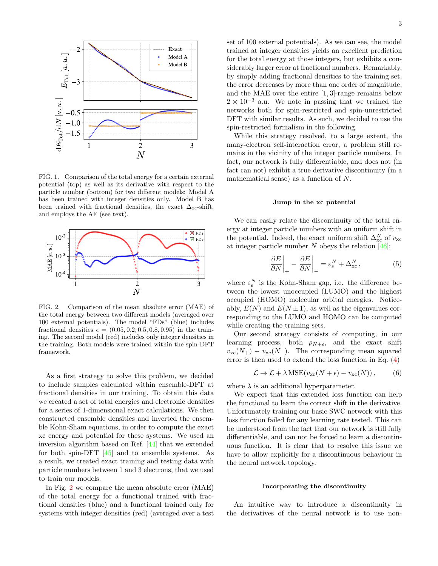

<span id="page-2-0"></span>FIG. 1. Comparison of the total energy for a certain external potential (top) as well as its derivative with respect to the particle number (bottom) for two different models: Model A has been trained with integer densities only. Model B has been trained with fractional densities, the exact  $\Delta_{\rm xc}$ -shift, and employs the AF (see text).



<span id="page-2-1"></span>FIG. 2. Comparison of the mean absolute error (MAE) of the total energy between two different models (averaged over 100 external potentials). The model "FDs" (blue) includes fractional densities  $\epsilon = (0.05, 0.2, 0.5, 0.8, 0.95)$  in the training. The second model (red) includes only integer densities in the training. Both models were trained within the spin-DFT framework.

As a first strategy to solve this problem, we decided to include samples calculated within ensemble-DFT at fractional densities in our training. To obtain this data we created a set of total energies and electronic densities for a series of 1-dimensional exact calculations. We then constructed ensemble densities and inverted the ensemble Kohn-Sham equations, in order to compute the exact xc energy and potential for these systems. We used an inversion algorithm based on Ref. [\[44\]](#page-6-35) that we extended for both spin-DFT  $[45]$  and to ensemble systems. As a result, we created exact training and testing data with particle numbers between 1 and 3 electrons, that we used to train our models.

In Fig. [2](#page-2-1) we compare the mean absolute error (MAE) of the total energy for a functional trained with fractional densities (blue) and a functional trained only for systems with integer densities (red) (averaged over a test set of 100 external potentials). As we can see, the model trained at integer densities yields an excellent prediction for the total energy at those integers, but exhibits a considerably larger error at fractional numbers. Remarkably, by simply adding fractional densities to the training set, the error decreases by more than one order of magnitude, and the MAE over the entire [1, 3]-range remains below  $2 \times 10^{-3}$  a.u. We note in passing that we trained the networks both for spin-restricted and spin-unrestricted DFT with similar results. As such, we decided to use the spin-restricted formalism in the following.

While this strategy resolved, to a large extent, the many-electron self-interaction error, a problem still remains in the vicinity of the integer particle numbers. In fact, our network is fully differentiable, and does not (in fact can not) exhibit a true derivative discontinuity (in a mathematical sense) as a function of N.

#### Jump in the xc potential

We can easily relate the discontinuity of the total energy at integer particle numbers with an uniform shift in the potential. Indeed, the exact uniform shift  $\Delta_{\text{xc}}^N$  of  $v_{\text{xc}}$ at integer particle number  $N$  obeys the relation  $\boxed{46}$ :

$$
\left. \frac{\partial E}{\partial N} \right|_{+} - \left. \frac{\partial E}{\partial N} \right|_{-} = \varepsilon_{\rm s}^{N} + \Delta_{\rm xc}^{N} , \tag{5}
$$

where  $\varepsilon_{\rm s}^N$  is the Kohn-Sham gap, i.e. the difference between the lowest unoccupied (LUMO) and the highest occupied (HOMO) molecular orbital energies. Noticeably,  $E(N)$  and  $E(N \pm 1)$ , as well as the eigenvalues corresponding to the LUMO and HOMO can be computed while creating the training sets.

Our second strategy consists of computing, in our learning process, both  $\rho_{N+\epsilon}$ , and the exact shift  $v_{\rm xc}(N_+) - v_{\rm xc}(N_-)$ . The corresponding mean squared error is then used to extend the loss function in Eq.  $(4)$ 

$$
\mathcal{L} \to \mathcal{L} + \lambda \text{MSE}(v_{\text{xc}}(N + \epsilon) - v_{\text{xc}}(N)), \quad (6)
$$

where  $\lambda$  is an additional hyperparameter.

We expect that this extended loss function can help the functional to learn the correct shift in the derivative. Unfortunately training our basic SWC network with this loss function failed for any learning rate tested. This can be understood from the fact that our network is still fully differentiable, and can not be forced to learn a discontinuous function. It is clear that to resolve this issue we have to allow explicitly for a discontinuous behaviour in the neural network topology.

### Incorporating the discontinuity

An intuitive way to introduce a discontinuity in the derivatives of the neural network is to use non-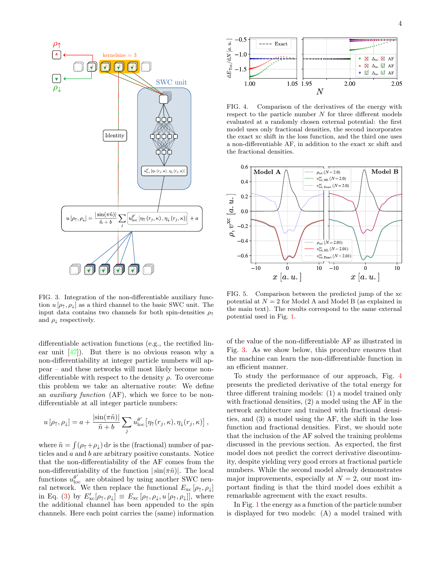

<span id="page-3-0"></span>FIG. 3. Integration of the non-differentiable auxiliary function  $u[\rho_{\uparrow}, \rho_{\downarrow}]$  as a third channel to the basic SWC unit. The input data contains two channels for both spin-densities  $\rho_{\uparrow}$ and  $\rho_{\downarrow}$  respectively.

differentiable activation functions (e.g., the rectified linear unit [\[47\]](#page-6-38)). But there is no obvious reason why a non-differentiability at integer particle numbers will appear – and these networks will most likely become nondifferentiable with respect to the density  $\rho$ . To overcome this problem we take an alternative route: We define an auxiliary function (AF), which we force to be nondifferentiable at all integer particle numbers:

$$
u\left[\rho_{\uparrow},\rho_{\downarrow}\right] = a + \frac{|\sin(\pi \tilde{n})|}{\tilde{n} + b} \sum_{j} u_{\text{loc}}^{\theta'} \left[\eta_{\uparrow}(r_{j}, \kappa), \eta_{\downarrow}(r_{j}, \kappa)\right],
$$

where  $\tilde{n} = \int (\rho_{\uparrow} + \rho_{\downarrow}) dr$  is the (fractional) number of particles and a and b are arbitrary positive constants. Notice that the non-differentiability of the AF comes from the non-differentiability of the function  $|\sin(\pi \tilde{n})|$ . The local functions  $u_{\text{loc}}^{\theta'}$  are obtained by using another SWC neural network. We then replace the functional  $E_{\rm xc}[\rho_{\uparrow},\rho_{\downarrow}]$ in Eq. [\(3\)](#page-1-1) by  $E'_{\text{xc}}[\rho_{\uparrow}, \rho_{\downarrow}] \equiv E_{\text{xc}}[\rho_{\uparrow}, \rho_{\downarrow}, u[\rho_{\uparrow}, \rho_{\downarrow}]]$ , where the additional channel has been appended to the spin channels. Here each point carries the (same) information



<span id="page-3-1"></span>FIG. 4. Comparison of the derivatives of the energy with respect to the particle number  $N$  for three different models evaluated at a randomly chosen external potential: the first model uses only fractional densities, the second incorporates the exact xc shift in the loss function, and the third one uses a non-differentiable AF, in addition to the exact xc shift and the fractional densities.



<span id="page-3-2"></span>FIG. 5. Comparison between the predicted jump of the xc potential at  $N = 2$  for Model A and Model B (as explained in the main text). The results correspond to the same external potential used in Fig. [1.](#page-2-0)

of the value of the non-differentiable AF as illustrated in Fig. [3.](#page-3-0) As we show below, this procedure ensures that the machine can learn the non-differentiable function in an efficient manner.

To study the performance of our approach, Fig. [4](#page-3-1) presents the predicted derivative of the total energy for three different training models: (1) a model trained only with fractional densities, (2) a model using the AF in the network architecture and trained with fractional densities, and (3) a model using the AF, the shift in the loss function and fractional densities. First, we should note that the inclusion of the AF solved the training problems discussed in the previous section. As expected, the first model does not predict the correct derivative discontinuity, despite yielding very good errors at fractional particle numbers. While the second model already demonstrates major improvements, especially at  $N = 2$ , our most important finding is that the third model does exhibit a remarkable agreement with the exact results.

In Fig. [1](#page-2-0) the energy as a function of the particle number is displayed for two models: (A) a model trained with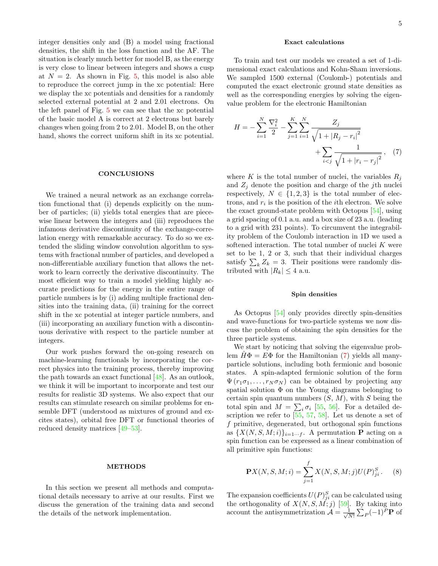integer densities only and (B) a model using fractional densities, the shift in the loss function and the AF. The situation is clearly much better for model B, as the energy is very close to linear between integers and shows a cusp at  $N = 2$ . As shown in Fig. [5,](#page-3-2) this model is also able to reproduce the correct jump in the xc potential: Here we display the xc potentials and densities for a randomly selected external potential at 2 and 2.01 electrons. On the left panel of Fig. [5](#page-3-2) we can see that the xc potential of the basic model A is correct at 2 electrons but barely changes when going from 2 to 2.01. Model B, on the other hand, shows the correct uniform shift in its xc potential.

## **CONCLUSIONS**

We trained a neural network as an exchange correlation functional that (i) depends explicitly on the number of particles; (ii) yields total energies that are piecewise linear between the integers and (iii) reproduces the infamous derivative discontinuity of the exchange-correlation energy with remarkable accuracy. To do so we extended the sliding window convolution algorithm to systems with fractional number of particles, and developed a non-differentiable auxiliary function that allows the network to learn correctly the derivative discontinuity. The most efficient way to train a model yielding highly accurate predictions for the energy in the entire range of particle numbers is by (i) adding multiple fractional densities into the training data, (ii) training for the correct shift in the xc potential at integer particle numbers, and (iii) incorporating an auxiliary function with a discontinuous derivative with respect to the particle number at integers.

Our work pushes forward the on-going research on machine-learning functionals by incorporating the correct physics into the training process, thereby improving the path towards an exact functional [\[48\]](#page-7-0). As an outlook, we think it will be important to incorporate and test our results for realistic 3D systems. We also expect that our results can stimulate research on similar problems for ensemble DFT (understood as mixtures of ground and excites states), orbital free DFT or functional theories of reduced density matrices [\[49](#page-7-1)[–53\]](#page-7-2).

### **METHODS**

In this section we present all methods and computational details necessary to arrive at our results. First we discuss the generation of the training data and second the details of the network implementation.

### <span id="page-4-0"></span>Exact calculations

To train and test our models we created a set of 1-dimensional exact calculations and Kohn-Sham inversions. We sampled 1500 external (Coulomb-) potentials and computed the exact electronic ground state densities as well as the corresponding energies by solving the eigenvalue problem for the electronic Hamiltonian

$$
H = -\sum_{i=1}^{N} \frac{\nabla_i^2}{2} - \sum_{j=1}^{K} \sum_{i=1}^{N} \frac{Z_j}{\sqrt{1 + |R_j - r_i|^2}} + \sum_{i < j} \frac{1}{\sqrt{1 + |r_i - r_j|^2}},\tag{7}
$$

where K is the total number of nuclei, the variables  $R_i$ and  $Z_i$  denote the position and charge of the jth nuclei respectively,  $N \in \{1, 2, 3\}$  is the total number of electrons, and  $r_i$  is the position of the *i*<sup>th</sup> electron. We solve the exact ground-state problem with Octopus [\[54\]](#page-7-3), using a grid spacing of 0.1 a.u. and a box size of 23 a.u. (leading to a grid with 231 points). To circumvent the integrability problem of the Coulomb interaction in 1D we used a softened interaction. The total number of nuclei K were set to be 1, 2 or 3, such that their individual charges satisfy  $\sum_k Z_k = 3$ . Their positions were randomly distributed with  $|R_k| \leq 4$  a.u.

### Spin densities

As Octopus [\[54\]](#page-7-3) only provides directly spin-densities and wave-functions for two-particle systems we now discuss the problem of obtaining the spin densities for the three particle systems.

We start by noticing that solving the eigenvalue problem  $H\Phi = E\Phi$  for the Hamiltonian [\(7\)](#page-4-0) yields all manyparticle solutions, including both fermionic and bosonic states. A spin-adapted fermionic solution of the form  $\Psi(r_1\sigma_1,\ldots,r_N\sigma_N)$  can be obtained by projecting any spatial solution  $\Phi$  on the Young diagrams belonging to certain spin quantum numbers  $(S, M)$ , with S being the total spin and  $M = \sum_i \sigma_i$  [\[55,](#page-7-4) [56\]](#page-7-5). For a detailed description we refer to  $[55, 57, 58]$  $[55, 57, 58]$  $[55, 57, 58]$  $[55, 57, 58]$  $[55, 57, 58]$ . Let us denote a set of f primitive, degenerated, but orthogonal spin functions as  $\{X(N, S, M; i)\}_{i=1 \cdots f}$ . A permutation **P** acting on a spin function can be expressed as a linear combination of all primitive spin functions:

$$
\mathbf{P}X(N, S, M; i) = \sum_{j=1}^{f} X(N, S, M; j) U(P)_{ji}^{S}.
$$
 (8)

The expansion coefficients  $U(P)_{ji}^S$  can be calculated using the orthogonality of  $X(N, S, M; j)$  [\[59\]](#page-7-8). By taking into account the antisymmetrization  $\mathcal{A} = \frac{1}{\sqrt{2}}$  $\frac{1}{N!} \sum_{P} (-1)^P \mathbf{P}$  of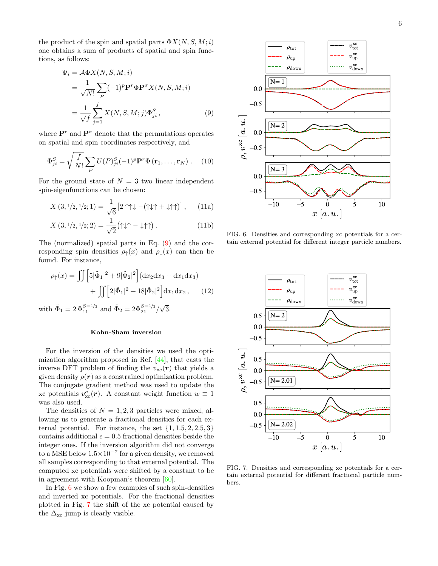the product of the spin and spatial parts  $\Phi X(N, S, M; i)$ one obtains a sum of products of spatial and spin functions, as follows:

$$
\Psi_i = \mathcal{A}\Phi X(N, S, M; i)
$$
  
= 
$$
\frac{1}{\sqrt{N!}} \sum_P (-1)^p \mathbf{P}^r \Phi \mathbf{P}^\sigma X(N, S, M; i)
$$
  
= 
$$
\frac{1}{\sqrt{f}} \sum_{j=1}^f X(N, S, M; j) \Phi_{ji}^S,
$$
 (9)

where  $\mathbf{P}^r$  and  $\mathbf{P}^{\sigma}$  denote that the permutations operates on spatial and spin coordinates respectively, and

$$
\Phi_{ji}^S = \sqrt{\frac{f}{N!}} \sum_P U(P)_{ji}^S (-1)^p \mathbf{P}^r \Phi(\mathbf{r}_1, \dots, \mathbf{r}_N) . \tag{10}
$$

For the ground state of  $N = 3$  two linear independent spin-eigenfunctions can be chosen:

$$
X(3, 1/2, 1/2; 1) = \frac{1}{\sqrt{6}} \left[ 2 \uparrow \uparrow \downarrow - (\uparrow \downarrow \uparrow + \downarrow \uparrow \uparrow) \right], \quad (11a)
$$

$$
X(3, \frac{1}{2}, \frac{1}{2}; 2) = \frac{1}{\sqrt{2}} (\uparrow \downarrow \uparrow - \downarrow \uparrow \uparrow).
$$
 (11b)

The (normalized) spatial parts in Eq. [\(9\)](#page-5-0) and the corresponding spin densities  $\rho_{\uparrow}(x)$  and  $\rho_{\downarrow}(x)$  can then be found. For instance,

$$
\rho_{\uparrow}(x) = \iint \left[ 5|\tilde{\Phi}_1|^2 + 9|\tilde{\Phi}_2|^2 \right] (dx_2 dx_3 + dx_1 dx_3) + \iint \left[ 2|\tilde{\Phi}_1|^2 + 18|\tilde{\Phi}_2|^2 \right] dx_1 dx_2 , \qquad (12)
$$

with  $\tilde{\Phi}_1 = 2 \Phi_{11}^{S=1/2}$  and  $\tilde{\Phi}_2 = 2 \Phi_{21}^{S=1/2}$ √ 3.

## Kohn-Sham inversion

For the inversion of the densities we used the optimization algorithm proposed in Ref. [\[44\]](#page-6-35), that casts the inverse DFT problem of finding the  $v_{\rm xc}(\mathbf{r})$  that yields a given density  $\rho(\mathbf{r})$  as a constrained optimization problem. The conjugate gradient method was used to update the xc potentials  $v_{\text{xc}}^{\sigma}(\boldsymbol{r})$ . A constant weight function  $w \equiv 1$ was also used.

The densities of  $N = 1, 2, 3$  particles were mixed, allowing us to generate a fractional densities for each external potential. For instance, the set  $\{1, 1.5, 2, 2.5, 3\}$ contains additional  $\epsilon = 0.5$  fractional densities beside the integer ones. If the inversion algorithm did not converge to a MSE below  $1.5 \times 10^{-7}$  for a given density, we removed all samples corresponding to that external potential. The computed xc potentials were shifted by a constant to be in agreement with Koopman's theorem [\[60\]](#page-7-9).

In Fig. [6](#page-5-1) we show a few examples of such spin-densities and inverted xc potentials. For the fractional densities plotted in Fig. [7](#page-5-2) the shift of the xc potential caused by the  $\Delta_{\rm xc}$  jump is clearly visible.

<span id="page-5-0"></span>

<span id="page-5-1"></span>FIG. 6. Densities and corresponding xc potentials for a certain external potential for different integer particle numbers.



<span id="page-5-2"></span>FIG. 7. Densities and corresponding xc potentials for a certain external potential for different fractional particle numbers.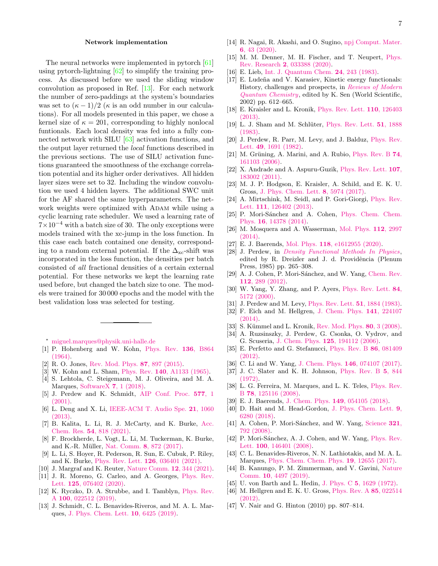### Network implementation

The neural networks were implemented in pytorch [\[61\]](#page-7-10) using pytorch-lightning [\[62\]](#page-7-11) to simplify the training process. As discussed before we used the sliding window convolution as proposed in Ref. [\[13\]](#page-6-10). For each network the number of zero-paddings at the system's boundaries was set to  $(\kappa - 1)/2$  ( $\kappa$  is an odd number in our calculations). For all models presented in this paper, we chose a kernel size of  $\kappa = 201$ , corresponding to highly nonlocal funtionals. Each local density was fed into a fully connected network with SILU [\[63\]](#page-7-12) activation functions, and the output layer returned the local functions described in the previous sections. The use of SILU activation functions guaranteed the smoothness of the exchange correlation potential and its higher order derivatives. All hidden layer sizes were set to 32. Including the window convolution we used 4 hidden layers. The additional SWC unit for the AF shared the same hyperparameters. The network weights were optimized with ADAM while using a cyclic learning rate scheduler. We used a learning rate of  $7\times10^{-4}$  with a batch size of 30. The only exceptions were models trained with the xc-jump in the loss function. In this case each batch contained one density, corresponding to a random external potential. If the  $\Delta_{\rm xc}$ -shift was incorporated in the loss function, the densities per batch consisted of all fractional densities of a certain external potential. For these networks we kept the learning rate used before, but changed the batch size to one. The models were trained for 30 000 epochs and the model with the best validation loss was selected for testing.

- <span id="page-6-0"></span><sup>∗</sup> [miguel.marques@physik.uni-halle.de](mailto:miguel.marques@physik.uni-halle.de)
- <span id="page-6-1"></span>[1] P. Hohenberg and W. Kohn, [Phys. Rev.](https://doi.org/10.1103/PhysRev.136.B864) 136, B864  $(1964)$ .
- <span id="page-6-2"></span>[2] R. O. Jones, [Rev. Mod. Phys.](https://doi.org/10.1103/RevModPhys.87.897) 87, 897 (2015).
- <span id="page-6-3"></span>[3] W. Kohn and L. Sham, Phys. Rev. 140[, A1133 \(1965\).](https://doi.org/10.1103/PhysRev.140.A1133)
- <span id="page-6-4"></span>[4] S. Lehtola, C. Steigemann, M. J. Oliveira, and M. A. Marques, [SoftwareX](https://doi.org/https://doi.org/10.1016/j.softx.2017.11.002) 7, 1 (2018).
- <span id="page-6-5"></span>[5] J. Perdew and K. Schmidt, [AIP Conf. Proc.](https://doi.org/10.1063/1.1390175) 577, 1 [\(2001\).](https://doi.org/10.1063/1.1390175)
- <span id="page-6-6"></span>[6] L. Deng and X. Li, [IEEE-ACM T. Audio Spe.](https://doi.org/10.1109/TASL.2013.2244083) 21, 1060 [\(2013\).](https://doi.org/10.1109/TASL.2013.2244083)
- <span id="page-6-7"></span>[7] B. Kalita, L. Li, R. J. McCarty, and K. Burke, [Acc.](https://doi.org/10.1021/acs.accounts.0c00742) Chem. Res. 54[, 818 \(2021\).](https://doi.org/10.1021/acs.accounts.0c00742)
- <span id="page-6-8"></span>[8] F. Brockherde, L. Vogt, L. Li, M. Tuckerman, K. Burke, and K.-R. Müller, [Nat. Comm.](https://doi.org/10.1038/s41467-017-00839-3) 8, 872 (2017).
- [9] L. Li, S. Hoyer, R. Pederson, R. Sun, E. Cubuk, P. Riley, and K. Burke, [Phys. Rev. Lett.](https://doi.org/10.1103/PhysRevLett.126.036401) 126, 036401 (2021).
- [10] J. Margraf and K. Reuter, [Nature Comm.](https://doi.org/10.1038/s41467-020-20471-y) **12**, 344 (2021).
- [11] J. R. Moreno, G. Carleo, and A. Georges, [Phys. Rev.](https://doi.org/10.1103/PhysRevLett.125.076402) Lett. 125[, 076402 \(2020\).](https://doi.org/10.1103/PhysRevLett.125.076402)
- <span id="page-6-9"></span>[12] K. Ryczko, D. A. Strubbe, and I. Tamblyn, [Phys. Rev.](https://doi.org/10.1103/PhysRevA.100.022512) A 100[, 022512 \(2019\).](https://doi.org/10.1103/PhysRevA.100.022512)
- <span id="page-6-10"></span>[13] J. Schmidt, C. L. Benavides-Riveros, and M. A. L. Marques, [J. Phys. Chem. Lett.](https://doi.org/10.1021/acs.jpclett.9b02422) 10, 6425 (2019).
- <span id="page-6-11"></span>[15] M. M. Denner, M. H. Fischer, and T. Neupert, [Phys.](https://doi.org/10.1103/PhysRevResearch.2.033388) Rev. Research 2[, 033388 \(2020\).](https://doi.org/10.1103/PhysRevResearch.2.033388)
- <span id="page-6-12"></span>[16] E. Lieb, [Int. J. Quantum Chem.](https://doi.org/https://doi.org/10.1002/qua.560240302) 24, 243 (1983).
- [17] E. Ludeña and V. Karasiev, Kinetic energy functionals: History, challenges and prospects, in [Reviews of Modern](https://doi.org/10.1142/9789812775702_0022) [Quantum Chemistry](https://doi.org/10.1142/9789812775702_0022), edited by K. Sen (World Scientific, 2002) pp. 612–665.
- <span id="page-6-13"></span>[18] E. Kraisler and L. Kronik, [Phys. Rev. Lett.](https://doi.org/10.1103/PhysRevLett.110.126403) 110, 126403 [\(2013\).](https://doi.org/10.1103/PhysRevLett.110.126403)
- <span id="page-6-14"></span>[19] L. J. Sham and M. Schlüter, *[Phys. Rev. Lett.](https://doi.org/10.1103/PhysRevLett.51.1888)* **51**, 1888 [\(1983\).](https://doi.org/10.1103/PhysRevLett.51.1888)
- <span id="page-6-21"></span>[20] J. Perdew, R. Parr, M. Levy, and J. Balduz, [Phys. Rev.](https://doi.org/10.1103/PhysRevLett.49.1691) Lett. 49[, 1691 \(1982\).](https://doi.org/10.1103/PhysRevLett.49.1691)
- [21] M. Grüning, A. Marini, and A. Rubio, [Phys. Rev. B](https://doi.org/10.1103/PhysRevB.74.161103)  $74$ , [161103 \(2006\).](https://doi.org/10.1103/PhysRevB.74.161103)
- <span id="page-6-15"></span>[22] X. Andrade and A. Aspuru-Guzik, [Phys. Rev. Lett.](https://doi.org/10.1103/PhysRevLett.107.183002) 107, [183002 \(2011\).](https://doi.org/10.1103/PhysRevLett.107.183002)
- <span id="page-6-16"></span>[23] M. J. P. Hodgson, E. Kraisler, A. Schild, and E. K. U. Gross, [J. Phys. Chem. Lett.](https://doi.org/10.1021/acs.jpclett.7b02615) 8, 5974 (2017).
- <span id="page-6-17"></span>[24] A. Mirtschink, M. Seidl, and P. Gori-Giorgi, [Phys. Rev.](https://doi.org/10.1103/PhysRevLett.111.126402) Lett. 111[, 126402 \(2013\).](https://doi.org/10.1103/PhysRevLett.111.126402)
- <span id="page-6-18"></span>[25] P. Mori-Sánchez and A. Cohen, [Phys. Chem. Chem.](https://doi.org/10.1039/C4CP01170H) Phys. 16[, 14378 \(2014\).](https://doi.org/10.1039/C4CP01170H)
- [26] M. Mosquera and A. Wasserman, [Mol. Phys.](https://doi.org/10.1080/00268976.2014.968650) 112, 2997 [\(2014\).](https://doi.org/10.1080/00268976.2014.968650)
- [27] E. J. Baerends, Mol. Phys. 118[, e1612955 \(2020\).](https://doi.org/10.1080/00268976.2019.1612955)
- <span id="page-6-19"></span>[28] J. Perdew, in *[Density Functional Methods In Physics](https://www.springer.com/gp/book/9781475708202)*, edited by R. Dreizler and J. d. Providência (Plenum Press, 1985) pp. 265–308.
- <span id="page-6-20"></span>[29] A. J. Cohen, P. Mori-Sánchez, and W. Yang, [Chem. Rev.](https://doi.org/10.1021/cr200107z) 112[, 289 \(2012\).](https://doi.org/10.1021/cr200107z)
- <span id="page-6-22"></span>[30] W. Yang, Y. Zhang, and P. Ayers, [Phys. Rev. Lett.](https://doi.org/10.1103/PhysRevLett.84.5172) 84, [5172 \(2000\).](https://doi.org/10.1103/PhysRevLett.84.5172)
- <span id="page-6-23"></span>[31] J. Perdew and M. Levy, [Phys. Rev. Lett.](https://doi.org/10.1103/PhysRevLett.51.1884) **51**, 1884 (1983).
- <span id="page-6-24"></span>[32] F. Eich and M. Hellgren, [J. Chem. Phys.](https://doi.org/10.1063/1.4903273) 141, 224107 [\(2014\).](https://doi.org/10.1063/1.4903273)
- <span id="page-6-25"></span>[33] S. Kümmel and L. Kronik, [Rev. Mod. Phys.](https://doi.org/10.1103/RevModPhys.80.3) 80, 3 (2008).
- <span id="page-6-26"></span>[34] A. Ruzsinszky, J. Perdew, G. Csonka, O. Vydrov, and G. Scuseria, J. Chem. Phys. 125[, 194112 \(2006\).](https://doi.org/10.1063/1.2387954)
- <span id="page-6-27"></span>[35] E. Perfetto and G. Stefanucci, [Phys. Rev. B](https://doi.org/10.1103/PhysRevB.86.081409) 86, 081409 [\(2012\).](https://doi.org/10.1103/PhysRevB.86.081409)
- <span id="page-6-28"></span>[36] C. Li and W. Yang, J. Chem. Phys. **146**[, 074107 \(2017\).](https://doi.org/10.1063/1.4974988)
- <span id="page-6-29"></span>[37] J. C. Slater and K. H. Johnson, [Phys. Rev. B](https://doi.org/10.1103/PhysRevB.5.844) 5, 844 [\(1972\).](https://doi.org/10.1103/PhysRevB.5.844)
- <span id="page-6-30"></span>[38] L. G. Ferreira, M. Marques, and L. K. Teles, [Phys. Rev.](https://doi.org/10.1103/PhysRevB.78.125116) B 78[, 125116 \(2008\).](https://doi.org/10.1103/PhysRevB.78.125116)
- <span id="page-6-31"></span>[39] E. J. Baerends, J. Chem. Phys. 149[, 054105 \(2018\).](https://doi.org/10.1063/1.5026951)
- <span id="page-6-32"></span>[40] D. Hait and M. Head-Gordon, [J. Phys. Chem. Lett.](https://doi.org/10.1021/acs.jpclett.8b02417) 9, [6280 \(2018\).](https://doi.org/10.1021/acs.jpclett.8b02417)
- <span id="page-6-33"></span>[41] A. Cohen, P. Mori-Sánchez, and W. Yang, [Science](https://doi.org/10.1126/science.1158722) 321, [792 \(2008\).](https://doi.org/10.1126/science.1158722)
- [42] P. Mori-Sánchez, A. J. Cohen, and W. Yang, [Phys. Rev.](https://doi.org/10.1103/PhysRevLett.100.146401) Lett. 100[, 146401 \(2008\).](https://doi.org/10.1103/PhysRevLett.100.146401)
- <span id="page-6-34"></span>[43] C. L. Benavides-Riveros, N. N. Lathiotakis, and M. A. L. Marques, [Phys. Chem. Chem. Phys.](https://doi.org/10.1039/C7CP01137G) 19, 12655 (2017).
- <span id="page-6-35"></span>[44] B. Kanungo, P. M. Zimmerman, and V. Gavini, [Nature](https://doi.org/10.1038/s41467-019-12467-0) Comm. 10[, 4497 \(2019\).](https://doi.org/10.1038/s41467-019-12467-0)
- <span id="page-6-36"></span>[45] U. von Barth and L. Hedin, J. Phys. C 5[, 1629 \(1972\).](https://doi.org/10.1088/0022-3719/5/13/012)
- <span id="page-6-37"></span>[46] M. Hellgren and E. K. U. Gross, [Phys. Rev. A](https://doi.org/10.1103/PhysRevA.85.022514) 85, 022514 [\(2012\).](https://doi.org/10.1103/PhysRevA.85.022514)
- <span id="page-6-38"></span>[47] V. Nair and G. Hinton (2010) pp. 807–814.